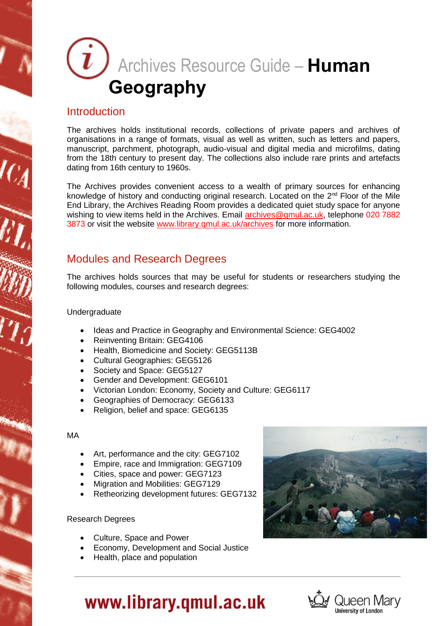# Archives Resource Guide – **Human Geography**

### Introduction

The archives holds institutional records, collections of private papers and archives of organisations in a range of formats, visual as well as written, such as letters and papers, manuscript, parchment, photograph, audio-visual and digital media and microfilms, dating from the 18th century to present day. The collections also include rare prints and artefacts dating from 16th century to 1960s.

The Archives provides convenient access to a wealth of primary sources for enhancing knowledge of history and conducting original research. Located on the  $2<sup>nd</sup>$  Floor of the Mile End Library, the Archives Reading Room provides a dedicated quiet study space for anyone wishing to view items held in the Archives. Email [archives@qmul.ac.uk,](mailto:archives@qmul.ac.uk) telephone 020 7882 3873 or visit the website [www.library.qmul.ac.uk/archives](http://www.library.qmul.ac.uk/archives) for more information.

### Modules and Research Degrees

The archives holds sources that may be useful for students or researchers studying the following modules, courses and research degrees:

#### Undergraduate

- Ideas and Practice in Geography and Environmental Science: GEG4002
- Reinventing Britain: GEG4106
- Health, Biomedicine and Society: GEG5113B
- Cultural Geographies: GEG5126
- Society and Space: GEG5127
- Gender and Development: GEG6101
- Victorian London: Economy, Society and Culture: GEG6117
- Geographies of Democracy: GEG6133
- Religion, belief and space: GEG6135

#### MA

- Art, performance and the city: GEG7102
- Empire, race and Immigration: GEG7109
- Cities, space and power: GEG7123
- Migration and Mobilities: GEG7129
- Retheorizing development futures: GEG7132

#### Research Degrees

- Culture, Space and Power
- Economy, Development and Social Justice
- Health, place and population





# www.library.qmul.ac.uk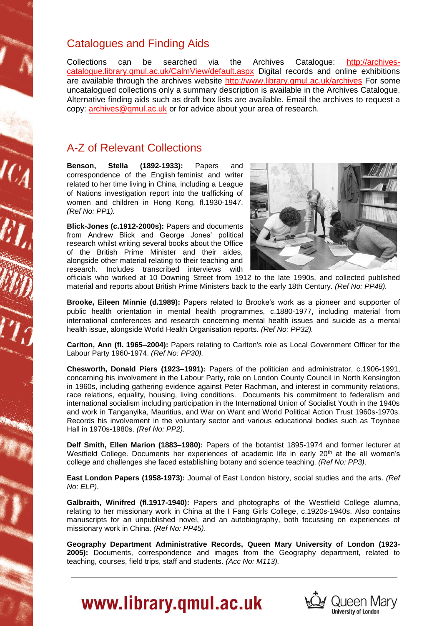### Catalogues and Finding Aids

Collections can be searched via the Archives Catalogue: [http://archives](http://archives-catalogue.library.qmul.ac.uk/CalmView/default.aspx)[catalogue.library.qmul.ac.uk/CalmView/default.aspx](http://archives-catalogue.library.qmul.ac.uk/CalmView/default.aspx) Digital records and online exhibitions are available through the archives website<http://www.library.qmul.ac.uk/archives> For some uncatalogued collections only a summary description is available in the Archives Catalogue. Alternative finding aids such as draft box lists are available. Email the archives to request a copy: [archives@qmul.ac.uk](mailto:archives@qmul.ac.uk) or for advice about your area of research.

## A-Z of Relevant Collections

**Benson, Stella (1892-1933):** Papers and correspondence of the English feminist and writer related to her time living in China, including a League of Nations investigation report into the trafficking of women and children in Hong Kong, fl.1930-1947. *(Ref No: PP1).*

**Blick-Jones (c.1912-2000s):** Papers and documents from Andrew Blick and George Jones' political research whilst writing several books about the Office of the British Prime Minister and their aides, alongside other material relating to their teaching and research. Includes transcribed interviews with



officials who worked at 10 Downing Street from 1912 to the late 1990s, and collected published material and reports about British Prime Ministers back to the early 18th Century. *(Ref No: PP48).* 

**Brooke, Eileen Minnie (d.1989):** Papers related to Brooke's work as a pioneer and supporter of public health orientation in mental health programmes, c.1880-1977, including material from international conferences and research concerning mental health issues and suicide as a mental health issue, alongside World Health Organisation reports. *(Ref No: PP32).*

**Carlton, Ann (fl. 1965–2004):** Papers relating to Carlton's role as Local Government Officer for the Labour Party 1960-1974. *(Ref No: PP30).*

**Chesworth, Donald Piers (1923–1991):** Papers of the politician and administrator, c.1906-1991, concerning his involvement in the Labour Party, role on London County Council in North Kensington in 1960s, including gathering evidence against Peter Rachman, and interest in community relations, race relations, equality, housing, living conditions. Documents his commitment to federalism and international socialism including participation in the International Union of Socialist Youth in the 1940s and work in Tanganyika, Mauritius, and War on Want and World Political Action Trust 1960s-1970s. Records his involvement in the voluntary sector and various educational bodies such as Toynbee Hall in 1970s-1980s. *(Ref No: PP2).*

**Delf Smith, Ellen Marion (1883–1980):** Papers of the botantist 1895-1974 and former lecturer at Westfield College. Documents her experiences of academic life in early 20<sup>th</sup> at the all women's college and challenges she faced establishing botany and science teaching. *(Ref No: PP3)*.

**East London Papers (1958-1973):** Journal of East London history, social studies and the arts. *(Ref No: ELP)*.

**Galbraith, Winifred (fl.1917-1940):** Papers and photographs of the Westfield College alumna, relating to her missionary work in China at the I Fang Girls College, c.1920s-1940s. Also contains manuscripts for an unpublished novel, and an autobiography, both focussing on experiences of missionary work in China. *(Ref No: PP45)*.

**Geography Department Administrative Records, Queen Mary University of London (1923- 2005):** Documents, correspondence and images from the Geography department, related to teaching, courses, field trips, staff and students. *(Acc No: M113).*



# www.library.qmul.ac.uk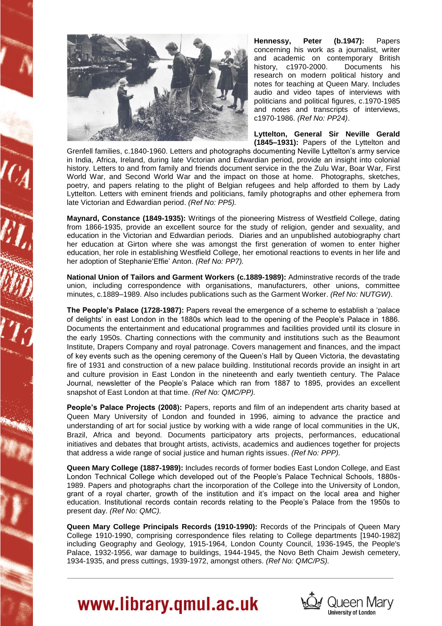

**Hennessy, Peter (b.1947):** Papers concerning his work as a journalist, writer and academic on contemporary British history, c1970-2000. Documents his research on modern political history and notes for teaching at Queen Mary. Includes audio and video tapes of interviews with politicians and political figures, c.1970-1985 and notes and transcripts of interviews, c1970-1986. *(Ref No: PP24)*.

**Lyttelton, General Sir Neville Gerald (1845–1931):** Papers of the Lyttelton and

Grenfell families, c.1840-1960. Letters and photographs documenting Neville Lyttelton's army service in India, Africa, Ireland, during late Victorian and Edwardian period, provide an insight into colonial history. Letters to and from family and friends document service in the the Zulu War, Boar War, First World War, and Second World War and the impact on those at home. Photographs, sketches, poetry, and papers relating to the plight of Belgian refugees and help afforded to them by Lady Lyttelton. Letters with eminent friends and politicians, family photographs and other ephemera from late Victorian and Edwardian period. *(Ref No: PP5).*

**Maynard, Constance (1849-1935):** Writings of the pioneering Mistress of Westfield College, dating from 1866-1935, provide an excellent source for the study of religion, gender and sexuality, and education in the Victorian and Edwardian periods. Diaries and an unpublished autobiography chart her education at Girton where she was amongst the first generation of women to enter higher education, her role in establishing Westfield College, her emotional reactions to events in her life and her adoption of Stephanie'Effie' Anton. *(Ref No: PP7).*

**National Union of Tailors and Garment Workers (c.1889-1989):** Adminstrative records of the trade union, including correspondence with organisations, manufacturers, other unions, committee minutes, c.1889–1989. Also includes publications such as the Garment Worker. *(Ref No: NUTGW)*.

**The People's Palace (1728-1987):** Papers reveal the emergence of a scheme to establish a 'palace of delights' in east London in the 1880s which lead to the opening of the People's Palace in 1886. Documents the entertainment and educational programmes and facilities provided until its closure in the early 1950s. Charting connections with the community and institutions such as the Beaumont Institute, Drapers Company and royal patronage. Covers management and finances, and the impact of key events such as the opening ceremony of the Queen's Hall by Queen Victoria, the devastating fire of 1931 and construction of a new palace building. Institutional records provide an insight in art and culture provision in East London in the nineteenth and early twentieth century. The Palace Journal, newsletter of the People's Palace which ran from 1887 to 1895, provides an excellent snapshot of East London at that time. *(Ref No: QMC/PP).*

**People's Palace Projects (2008):** Papers, reports and film of an independent arts charity based at Queen Mary University of London and founded in 1996, aiming to advance the practice and understanding of art for social justice by working with a wide range of local communities in the UK, Brazil, Africa and beyond. Documents participatory arts projects, performances, educational initiatives and debates that brought artists, activists, academics and audiences together for projects that address a wide range of social justice and human rights issues. *(Ref No: PPP).*

**Queen Mary College (1887-1989):** Includes records of former bodies East London College, and East London Technical College which developed out of the People's Palace Technical Schools, 1880s-1989. Papers and photographs chart the incorporation of the College into the University of London, grant of a royal charter, growth of the institution and it's impact on the local area and higher education. Institutional records contain records relating to the People's Palace from the 1950s to present day. *(Ref No: QMC).*

**Queen Mary College Principals Records (1910-1990):** Records of the Principals of Queen Mary College 1910-1990, comprising correspondence files relating to College departments [1940-1982] including Geography and Geology, 1915-1964, London County Council, 1936-1945, the People's Palace, 1932-1956, war damage to buildings, 1944-1945, the Novo Beth Chaim Jewish cemetery, 1934-1935, and press cuttings, 1939-1972, amongst others. *(Ref No: QMC/PS).*



# www.library.qmul.ac.uk